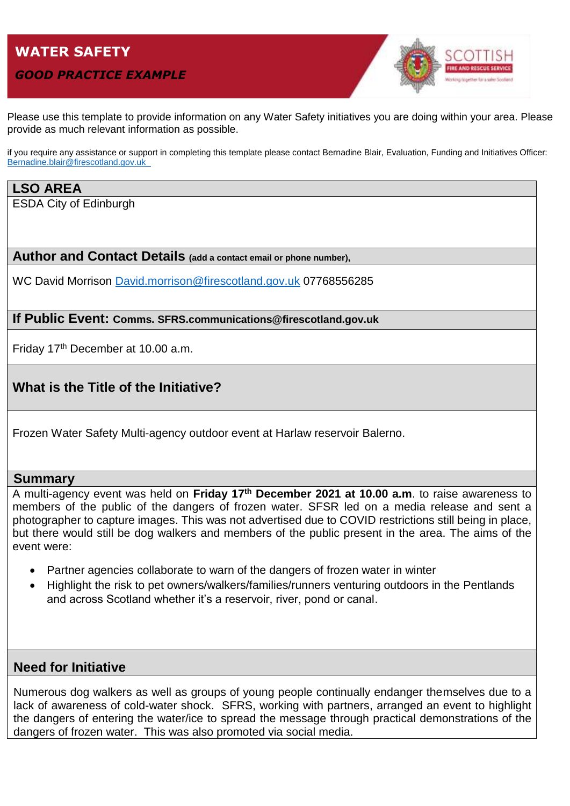# **WATER SAFETY**

#### *GOOD PRACTICE EXAMPLE*



Please use this template to provide information on any Water Safety initiatives you are doing within your area. Please provide as much relevant information as possible.

if you require any assistance or support in completing this template please contact Bernadine Blair, Evaluation, Funding and Initiatives Officer: [Bernadine.blair@firescotland.gov.uk\\_](mailto:Bernadine.blair@firescotland.gov.uk_)

# **LSO AREA**

ESDA City of Edinburgh

**Author and Contact Details (add a contact email or phone number),** 

WC David Morrison [David.morrison@firescotland.gov.uk](mailto:David.morrison@firescotland.gov.uk) 07768556285

#### **If Public Event: Comms. SFRS.communications@firescotland.gov.uk**

Friday 17th December at 10.00 a.m.

# **What is the Title of the Initiative?**

Frozen Water Safety Multi-agency outdoor event at Harlaw reservoir Balerno.

#### **Summary**

A multi-agency event was held on **Friday 17th December 2021 at 10.00 a.m**. to raise awareness to members of the public of the dangers of frozen water. SFSR led on a media release and sent a photographer to capture images. This was not advertised due to COVID restrictions still being in place, but there would still be dog walkers and members of the public present in the area. The aims of the event were:

- Partner agencies collaborate to warn of the dangers of frozen water in winter
- Highlight the risk to pet owners/walkers/families/runners venturing outdoors in the Pentlands and across Scotland whether it's a reservoir, river, pond or canal.

### **Need for Initiative**

Numerous dog walkers as well as groups of young people continually endanger themselves due to a lack of awareness of cold-water shock. SFRS, working with partners, arranged an event to highlight the dangers of entering the water/ice to spread the message through practical demonstrations of the dangers of frozen water. This was also promoted via social media.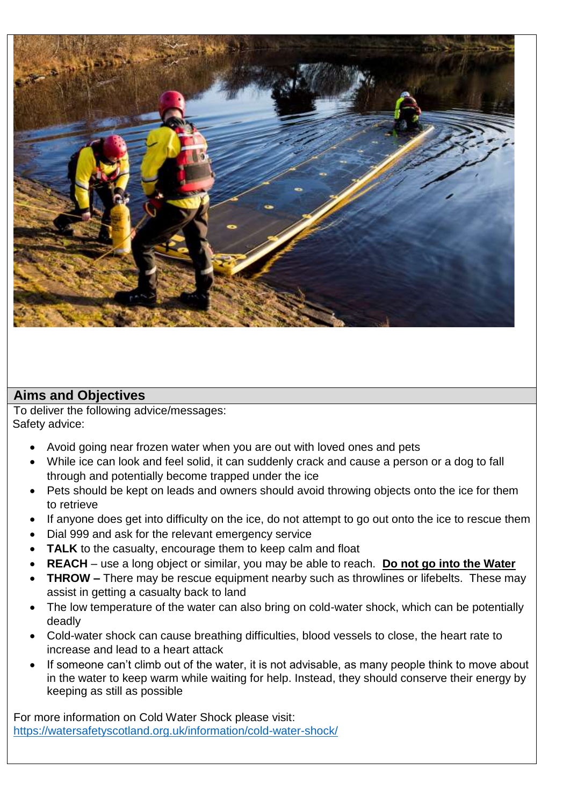

# **Aims and Objectives**

To deliver the following advice/messages: Safety advice:

- Avoid going near frozen water when you are out with loved ones and pets
- While ice can look and feel solid, it can suddenly crack and cause a person or a dog to fall through and potentially become trapped under the ice
- Pets should be kept on leads and owners should avoid throwing objects onto the ice for them to retrieve
- If anyone does get into difficulty on the ice, do not attempt to go out onto the ice to rescue them
- Dial 999 and ask for the relevant emergency service
- **TALK** to the casualty, encourage them to keep calm and float
- **REACH** use a long object or similar, you may be able to reach. **Do not go into the Water**
- **THROW –** There may be rescue equipment nearby such as throwlines or lifebelts. These may assist in getting a casualty back to land
- The low temperature of the water can also bring on cold-water shock, which can be potentially deadly
- Cold-water shock can cause breathing difficulties, blood vessels to close, the heart rate to increase and lead to a heart attack
- If someone can't climb out of the water, it is not advisable, as many people think to move about in the water to keep warm while waiting for help. Instead, they should conserve their energy by keeping as still as possible

For more information on Cold Water Shock please visit: <https://watersafetyscotland.org.uk/information/cold-water-shock/>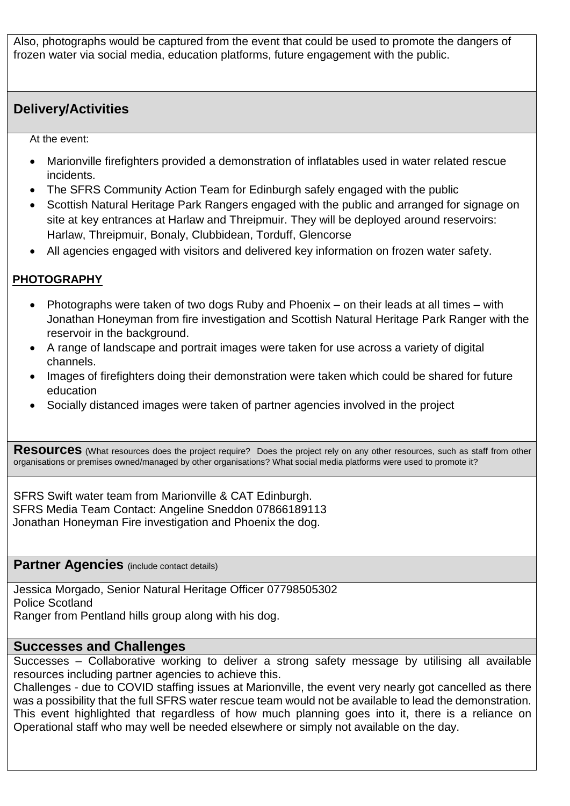Also, photographs would be captured from the event that could be used to promote the dangers of frozen water via social media, education platforms, future engagement with the public.

# **Delivery/Activities**

At the event:

- Marionville firefighters provided a demonstration of inflatables used in water related rescue incidents.
- The SFRS Community Action Team for Edinburgh safely engaged with the public
- Scottish Natural Heritage Park Rangers engaged with the public and arranged for signage on site at key entrances at Harlaw and Threipmuir. They will be deployed around reservoirs: Harlaw, Threipmuir, Bonaly, Clubbidean, Torduff, Glencorse
- All agencies engaged with visitors and delivered key information on frozen water safety.

## **PHOTOGRAPHY**

- Photographs were taken of two dogs Ruby and Phoenix on their leads at all times with Jonathan Honeyman from fire investigation and Scottish Natural Heritage Park Ranger with the reservoir in the background.
- A range of landscape and portrait images were taken for use across a variety of digital channels.
- Images of firefighters doing their demonstration were taken which could be shared for future education
- Socially distanced images were taken of partner agencies involved in the project

Resources (What resources does the project require? Does the project rely on any other resources, such as staff from other organisations or premises owned/managed by other organisations? What social media platforms were used to promote it?

SFRS Swift water team from Marionville & CAT Edinburgh. SFRS Media Team Contact: Angeline Sneddon 07866189113 Jonathan Honeyman Fire investigation and Phoenix the dog.

#### **Partner Agencies** (include contact details)

Jessica Morgado, Senior Natural Heritage Officer 07798505302 Police Scotland Ranger from Pentland hills group along with his dog.

### **Successes and Challenges**

Successes – Collaborative working to deliver a strong safety message by utilising all available resources including partner agencies to achieve this.

Challenges - due to COVID staffing issues at Marionville, the event very nearly got cancelled as there was a possibility that the full SFRS water rescue team would not be available to lead the demonstration. This event highlighted that regardless of how much planning goes into it, there is a reliance on Operational staff who may well be needed elsewhere or simply not available on the day.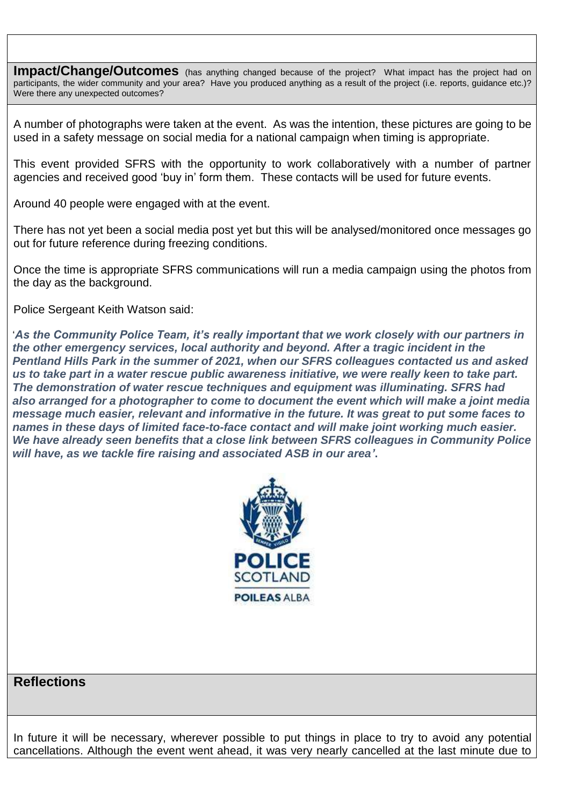**Impact/Change/Outcomes** (has anything changed because of the project? What impact has the project had on participants, the wider community and your area? Have you produced anything as a result of the project (i.e. reports, guidance etc.)? Were there any unexpected outcomes?

A number of photographs were taken at the event. As was the intention, these pictures are going to be used in a safety message on social media for a national campaign when timing is appropriate.

This event provided SFRS with the opportunity to work collaboratively with a number of partner agencies and received good 'buy in' form them. These contacts will be used for future events.

Around 40 people were engaged with at the event.

There has not yet been a social media post yet but this will be analysed/monitored once messages go out for future reference during freezing conditions.

Once the time is appropriate SFRS communications will run a media campaign using the photos from the day as the background.

Police Sergeant Keith Watson said:

'*As the Community Police Team, it's really important that we work closely with our partners in the other emergency services, local authority and beyond. After a tragic incident in the Pentland Hills Park in the summer of 2021, when our SFRS colleagues contacted us and asked us to take part in a water rescue public awareness initiative, we were really keen to take part. The demonstration of water rescue techniques and equipment was illuminating. SFRS had also arranged for a photographer to come to document the event which will make a joint media message much easier, relevant and informative in the future. It was great to put some faces to names in these days of limited face-to-face contact and will make joint working much easier. We have already seen benefits that a close link between SFRS colleagues in Community Police will have, as we tackle fire raising and associated ASB in our area'***.**



# **Reflections**

In future it will be necessary, wherever possible to put things in place to try to avoid any potential cancellations. Although the event went ahead, it was very nearly cancelled at the last minute due to